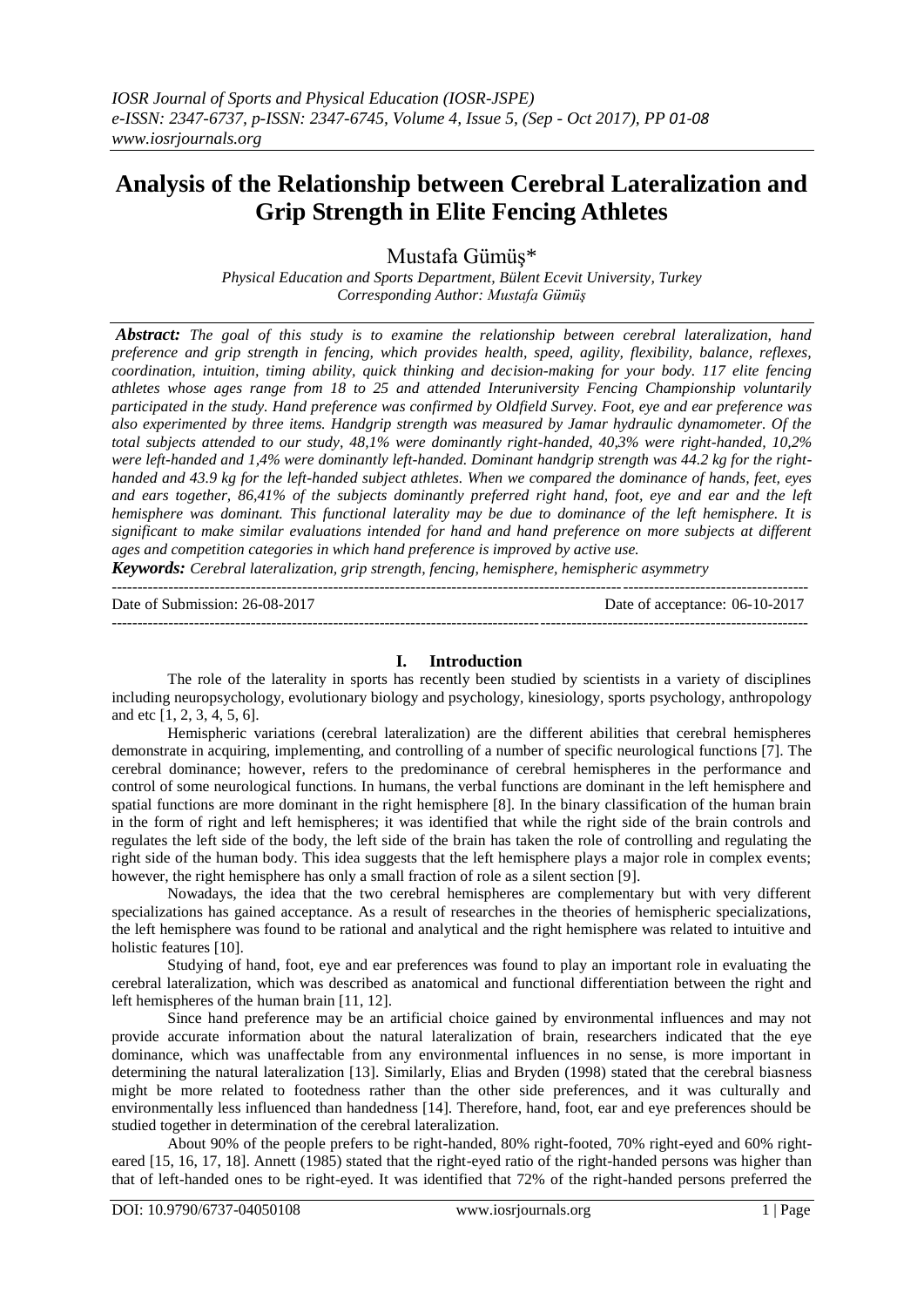# **Analysis of the Relationship between Cerebral Lateralization and Grip Strength in Elite Fencing Athletes**

Mustafa Gümüş\*

*Physical Education and Sports Department, Bülent Ecevit University, Turkey Corresponding Author: Mustafa Gümüş*

*Abstract: The goal of this study is to examine the relationship between cerebral lateralization, hand preference and grip strength in fencing, which provides health, speed, agility, flexibility, balance, reflexes, coordination, intuition, timing ability, quick thinking and decision-making for your body. 117 elite fencing athletes whose ages range from 18 to 25 and attended Interuniversity Fencing Championship voluntarily participated in the study. Hand preference was confirmed by Oldfield Survey. Foot, eye and ear preference was also experimented by three items. Handgrip strength was measured by Jamar hydraulic dynamometer. Of the total subjects attended to our study, 48,1% were dominantly right-handed, 40,3% were right-handed, 10,2% were left-handed and 1,4% were dominantly left-handed. Dominant handgrip strength was 44.2 kg for the righthanded and 43.9 kg for the left-handed subject athletes. When we compared the dominance of hands, feet, eyes and ears together, 86,41% of the subjects dominantly preferred right hand, foot, eye and ear and the left hemisphere was dominant. This functional laterality may be due to dominance of the left hemisphere. It is significant to make similar evaluations intended for hand and hand preference on more subjects at different ages and competition categories in which hand preference is improved by active use.*

*Keywords: Cerebral lateralization, grip strength, fencing, hemisphere, hemispheric asymmetry*

| Date of Submission: 26-08-2017 | Date of acceptance: 06-10-2017 |
|--------------------------------|--------------------------------|
|                                |                                |

## **I. Introduction**

The role of the laterality in sports has recently been studied by scientists in a variety of disciplines including neuropsychology, evolutionary biology and psychology, kinesiology, sports psychology, anthropology and etc [1, 2, 3, 4, 5, 6].

Hemispheric variations (cerebral lateralization) are the different abilities that cerebral hemispheres demonstrate in acquiring, implementing, and controlling of a number of specific neurological functions [7]. The cerebral dominance; however, refers to the predominance of cerebral hemispheres in the performance and control of some neurological functions. In humans, the verbal functions are dominant in the left hemisphere and spatial functions are more dominant in the right hemisphere [8]. In the binary classification of the human brain in the form of right and left hemispheres; it was identified that while the right side of the brain controls and regulates the left side of the body, the left side of the brain has taken the role of controlling and regulating the right side of the human body. This idea suggests that the left hemisphere plays a major role in complex events; however, the right hemisphere has only a small fraction of role as a silent section [9].

Nowadays, the idea that the two cerebral hemispheres are complementary but with very different specializations has gained acceptance. As a result of researches in the theories of hemispheric specializations, the left hemisphere was found to be rational and analytical and the right hemisphere was related to intuitive and holistic features [10].

Studying of hand, foot, eye and ear preferences was found to play an important role in evaluating the cerebral lateralization, which was described as anatomical and functional differentiation between the right and left hemispheres of the human brain [11, 12].

Since hand preference may be an artificial choice gained by environmental influences and may not provide accurate information about the natural lateralization of brain, researchers indicated that the eye dominance, which was unaffectable from any environmental influences in no sense, is more important in determining the natural lateralization [13]. Similarly, Elias and Bryden (1998) stated that the cerebral biasness might be more related to footedness rather than the other side preferences, and it was culturally and environmentally less influenced than handedness [14]. Therefore, hand, foot, ear and eye preferences should be studied together in determination of the cerebral lateralization.

About 90% of the people prefers to be right-handed, 80% right-footed, 70% right-eyed and 60% righteared [15, 16, 17, 18]. Annett (1985) stated that the right-eyed ratio of the right-handed persons was higher than that of left-handed ones to be right-eyed. It was identified that 72% of the right-handed persons preferred the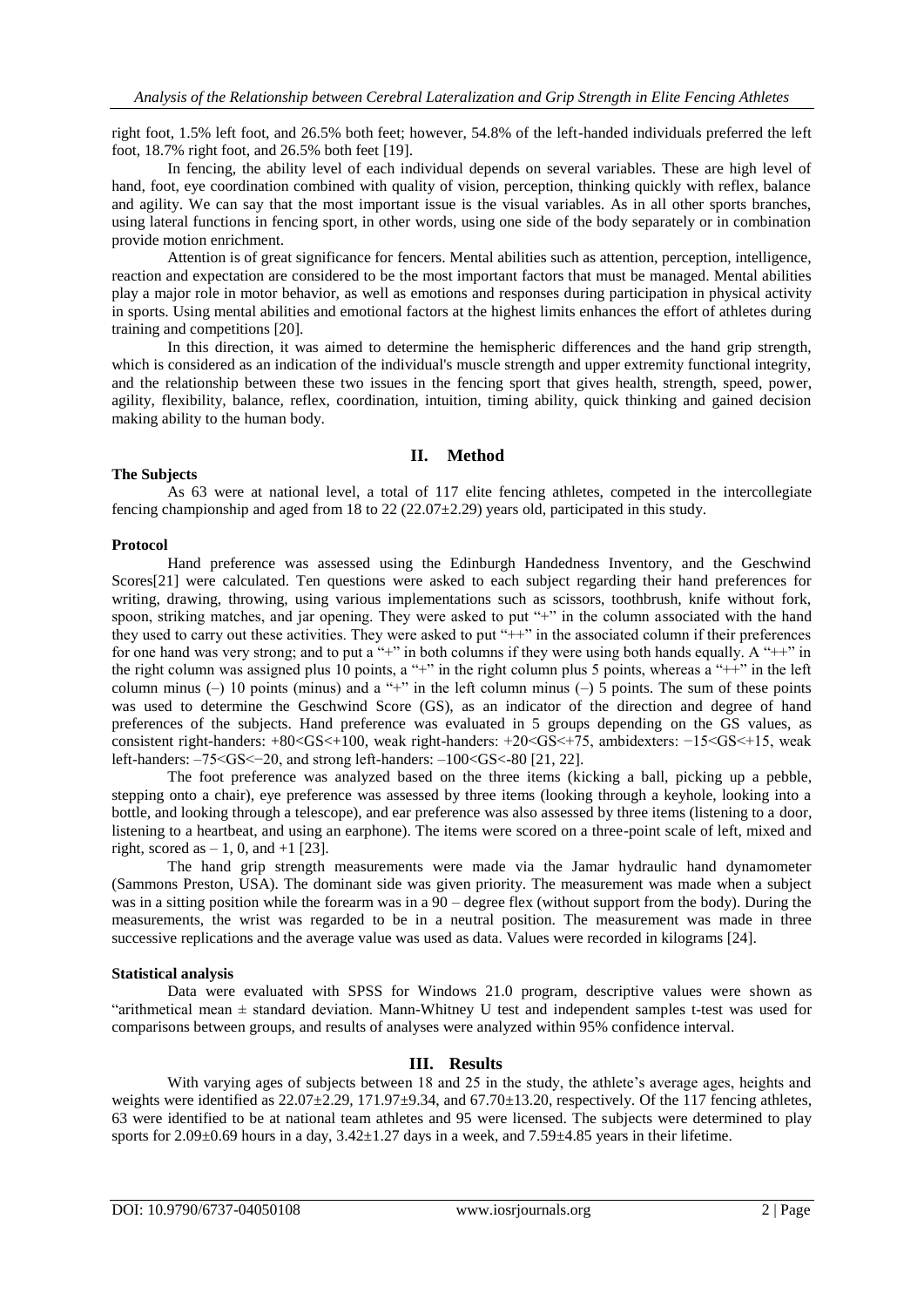right foot, 1.5% left foot, and 26.5% both feet; however, 54.8% of the left-handed individuals preferred the left foot, 18.7% right foot, and 26.5% both feet [19].

In fencing, the ability level of each individual depends on several variables. These are high level of hand, foot, eye coordination combined with quality of vision, perception, thinking quickly with reflex, balance and agility. We can say that the most important issue is the visual variables. As in all other sports branches, using lateral functions in fencing sport, in other words, using one side of the body separately or in combination provide motion enrichment.

Attention is of great significance for fencers. Mental abilities such as attention, perception, intelligence, reaction and expectation are considered to be the most important factors that must be managed. Mental abilities play a major role in motor behavior, as well as emotions and responses during participation in physical activity in sports. Using mental abilities and emotional factors at the highest limits enhances the effort of athletes during training and competitions [20].

In this direction, it was aimed to determine the hemispheric differences and the hand grip strength, which is considered as an indication of the individual's muscle strength and upper extremity functional integrity, and the relationship between these two issues in the fencing sport that gives health, strength, speed, power, agility, flexibility, balance, reflex, coordination, intuition, timing ability, quick thinking and gained decision making ability to the human body.

## **II. Method**

## **The Subjects**

As 63 were at national level, a total of 117 elite fencing athletes, competed in the intercollegiate fencing championship and aged from 18 to 22 (22.07 $\pm$ 2.29) years old, participated in this study.

## **Protocol**

Hand preference was assessed using the Edinburgh Handedness Inventory, and the Geschwind Scores[21] were calculated. Ten questions were asked to each subject regarding their hand preferences for writing, drawing, throwing, using various implementations such as scissors, toothbrush, knife without fork, spoon, striking matches, and jar opening. They were asked to put "+" in the column associated with the hand they used to carry out these activities. They were asked to put "++" in the associated column if their preferences for one hand was very strong; and to put a "+" in both columns if they were using both hands equally. A "++" in the right column was assigned plus 10 points, a "+" in the right column plus 5 points, whereas a "++" in the left column minus (–) 10 points (minus) and a "+" in the left column minus (–) 5 points. The sum of these points was used to determine the Geschwind Score (GS), as an indicator of the direction and degree of hand preferences of the subjects. Hand preference was evaluated in 5 groups depending on the GS values, as consistent right-handers: +80<GS<+100, weak right-handers: +20<GS<+75, ambidexters: −15<GS<+15, weak left-handers: –75<GS<−20, and strong left-handers: –100<GS<-80 [21, 22].

The foot preference was analyzed based on the three items (kicking a ball, picking up a pebble, stepping onto a chair), eye preference was assessed by three items (looking through a keyhole, looking into a bottle, and looking through a telescope), and ear preference was also assessed by three items (listening to a door, listening to a heartbeat, and using an earphone). The items were scored on a three-point scale of left, mixed and right, scored as  $-1$ , 0, and  $+1$  [23].

The hand grip strength measurements were made via the Jamar hydraulic hand dynamometer (Sammons Preston, USA). The dominant side was given priority. The measurement was made when a subject was in a sitting position while the forearm was in a 90 – degree flex (without support from the body). During the measurements, the wrist was regarded to be in a neutral position. The measurement was made in three successive replications and the average value was used as data. Values were recorded in kilograms [24].

## **Statistical analysis**

Data were evaluated with SPSS for Windows 21.0 program, descriptive values were shown as "arithmetical mean ± standard deviation. Mann-Whitney U test and independent samples t-test was used for comparisons between groups, and results of analyses were analyzed within 95% confidence interval.

## **III. Results**

With varying ages of subjects between 18 and 25 in the study, the athlete's average ages, heights and weights were identified as  $22.07\pm2.29$ ,  $171.97\pm9.34$ , and  $67.70\pm13.20$ , respectively. Of the 117 fencing athletes, 63 were identified to be at national team athletes and 95 were licensed. The subjects were determined to play sports for  $2.09\pm0.69$  hours in a day,  $3.42\pm1.27$  days in a week, and  $7.59\pm4.85$  years in their lifetime.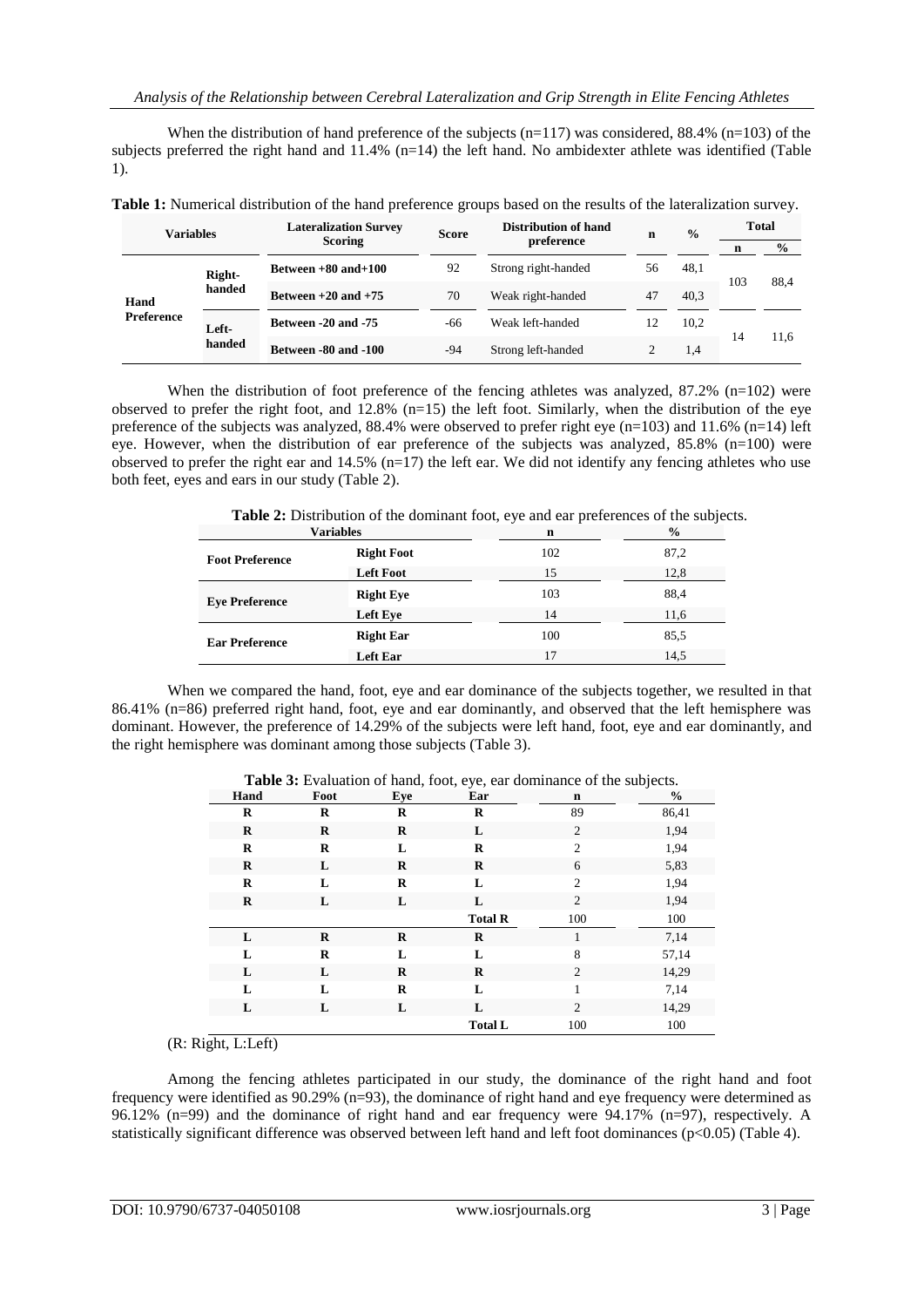When the distribution of hand preference of the subjects  $(n=117)$  was considered, 88.4%  $(n=103)$  of the subjects preferred the right hand and 11.4% (n=14) the left hand. No ambidexter athlete was identified (Table 1).

| Variables                             |        | <b>Lateralization Survey</b> | <b>Score</b>                  | Distribution of hand | n    | $\frac{0}{0}$ | Total |               |
|---------------------------------------|--------|------------------------------|-------------------------------|----------------------|------|---------------|-------|---------------|
|                                       |        | <b>Scoring</b>               |                               | preference           |      |               |       | $\frac{0}{0}$ |
| Right-<br>Hand<br>Preference<br>Left- |        | Between $+80$ and $+100$     | 92                            | Strong right-handed  | 56   | 48.1<br>103   |       | 88.4          |
|                                       | handed | Between $+20$ and $+75$      | 70<br>Weak right-handed       |                      | 47   | 40.3          |       |               |
|                                       | handed | Between -20 and -75          | Weak left-handed<br>12<br>-66 |                      | 10.2 | 14            | 11.6  |               |
|                                       |        | Between -80 and -100         | -94                           | Strong left-handed   |      | 1.4           |       |               |

**Table 1:** Numerical distribution of the hand preference groups based on the results of the lateralization survey.

When the distribution of foot preference of the fencing athletes was analyzed, 87.2% (n=102) were observed to prefer the right foot, and 12.8% (n=15) the left foot. Similarly, when the distribution of the eye preference of the subjects was analyzed, 88.4% were observed to prefer right eye (n=103) and 11.6% (n=14) left eye. However, when the distribution of ear preference of the subjects was analyzed, 85.8% (n=100) were observed to prefer the right ear and  $14.5\%$  (n=17) the left ear. We did not identify any fencing athletes who use both feet, eyes and ears in our study (Table 2).

| Variables              |                   | n   | $\frac{0}{0}$ |
|------------------------|-------------------|-----|---------------|
| <b>Foot Preference</b> | <b>Right Foot</b> | 102 | 87,2          |
|                        | <b>Left Foot</b>  | 15  | 12,8          |
| <b>Eye Preference</b>  | <b>Right Eye</b>  | 103 | 88,4          |
|                        | Left Eye          | 14  | 11,6          |
| <b>Ear Preference</b>  | <b>Right Ear</b>  | 100 | 85,5          |
|                        | Left Ear          | 17  | 14,5          |
|                        |                   |     |               |

**Table 2:** Distribution of the dominant foot, eye and ear preferences of the subjects.

When we compared the hand, foot, eye and ear dominance of the subjects together, we resulted in that 86.41% (n=86) preferred right hand, foot, eye and ear dominantly, and observed that the left hemisphere was dominant. However, the preference of 14.29% of the subjects were left hand, foot, eye and ear dominantly, and the right hemisphere was dominant among those subjects (Table 3).

| Hand    | Foot    | Eye      | Ear            | $\mathbf n$    | $\tilde{\phantom{a}}$<br>$\frac{6}{9}$ |
|---------|---------|----------|----------------|----------------|----------------------------------------|
| R       | R       | R        | R              | 89             | 86,41                                  |
| $\bf R$ | $\bf R$ | $\bf R$  | L              | 2              | 1,94                                   |
| R       | R       | L        | R              | $\overline{2}$ | 1,94                                   |
| R       | L       | $\bf R$  | R              | 6              | 5,83                                   |
| R       | L       | R        | L              | $\overline{2}$ | 1,94                                   |
| $\bf R$ | L       | L        | L              | $\overline{2}$ | 1,94                                   |
|         |         |          | <b>Total R</b> | 100            | 100                                    |
| L       | R       | $\bf{R}$ | $\bf R$        | 1              | 7,14                                   |
| L       | R       | L        | L              | 8              | 57,14                                  |
| L       | L       | $\bf{R}$ | $\bf R$        | $\overline{c}$ | 14,29                                  |
| L       | L       | R        | L              | 1              | 7,14                                   |
| L       | L       | L        | L              | 2              | 14,29                                  |
|         |         |          | <b>Total L</b> | 100            | 100                                    |

**Table 3:** Evaluation of hand, foot, eye, ear dominance of the subjects.

(R: Right, L:Left)

Among the fencing athletes participated in our study, the dominance of the right hand and foot frequency were identified as 90.29% (n=93), the dominance of right hand and eye frequency were determined as 96.12% (n=99) and the dominance of right hand and ear frequency were 94.17% (n=97), respectively. A statistically significant difference was observed between left hand and left foot dominances ( $p<0.05$ ) (Table 4).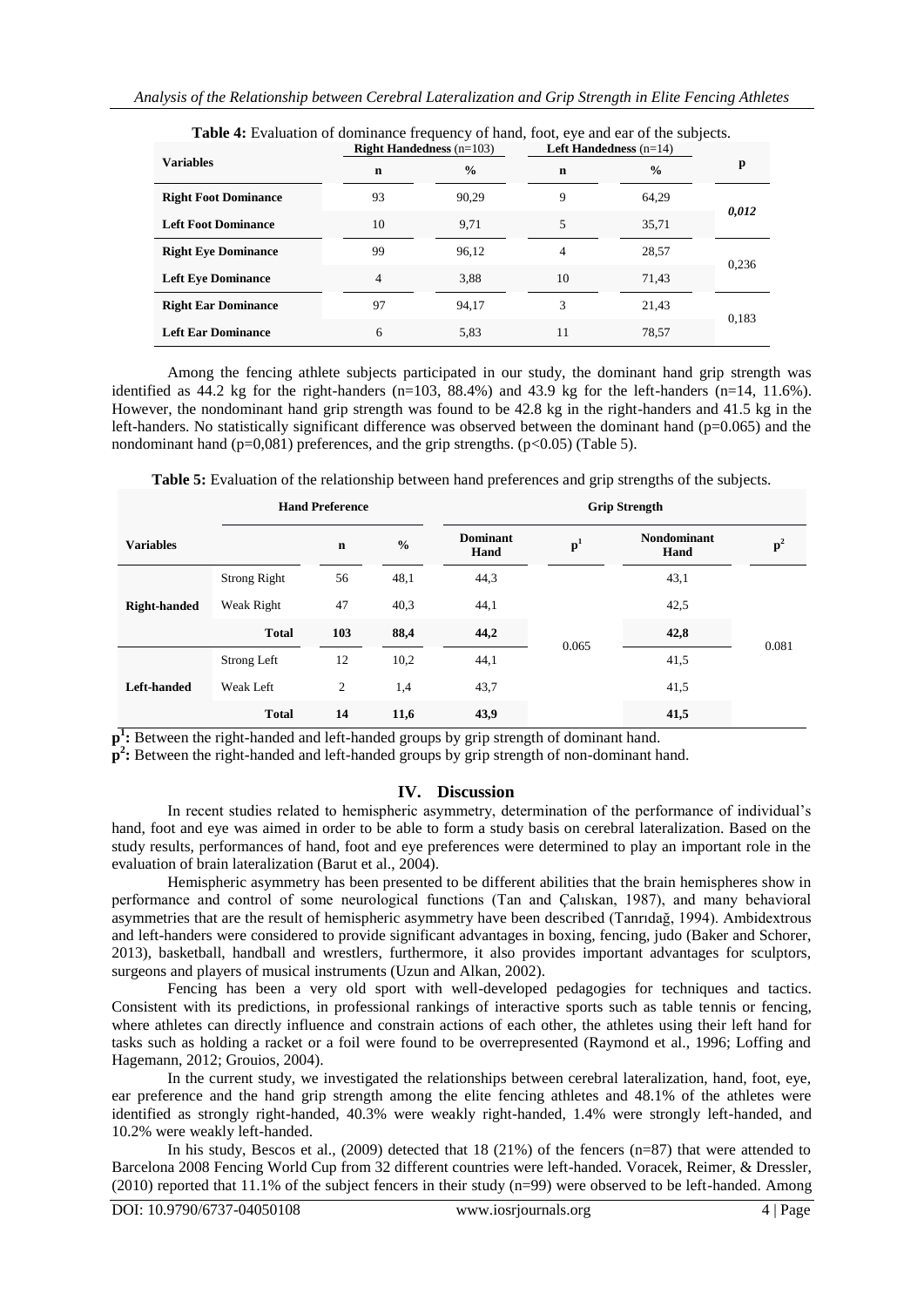|                             |             | <b>Right Handedness</b> $(n=103)$ |             | <b>Left Handedness</b> $(n=14)$ |       |  |
|-----------------------------|-------------|-----------------------------------|-------------|---------------------------------|-------|--|
| <b>Variables</b>            | $\mathbf n$ | $\frac{6}{9}$                     | $\mathbf n$ | $\frac{0}{0}$                   | p     |  |
| <b>Right Foot Dominance</b> | 93          | 90,29                             | 9           | 64,29                           |       |  |
| <b>Left Foot Dominance</b>  | 10          | 9,71                              | 5           | 35,71                           | 0,012 |  |
| <b>Right Eye Dominance</b>  | 99          | 96,12                             | 4           | 28,57                           | 0,236 |  |
| <b>Left Eye Dominance</b>   | 4           | 3,88                              | 10          | 71,43                           |       |  |
| <b>Right Ear Dominance</b>  | 97          | 94,17                             | 3           | 21,43                           | 0,183 |  |
| <b>Left Ear Dominance</b>   | 6           | 5,83                              | 11          | 78,57                           |       |  |

**Table 4:** Evaluation of dominance frequency of hand, foot, eye and ear of the subjects.

Among the fencing athlete subjects participated in our study, the dominant hand grip strength was identified as  $44.2$  kg for the right-handers (n=103, 88.4%) and 43.9 kg for the left-handers (n=14, 11.6%). However, the nondominant hand grip strength was found to be 42.8 kg in the right-handers and 41.5 kg in the left-handers. No statistically significant difference was observed between the dominant hand ( $p=0.065$ ) and the nondominant hand ( $p=0.081$ ) preferences, and the grip strengths. ( $p<0.05$ ) (Table 5).

|                     |                     | <b>Hand Preference</b> |               | <b>Grip Strength</b>    |                |                            |                |
|---------------------|---------------------|------------------------|---------------|-------------------------|----------------|----------------------------|----------------|
| <b>Variables</b>    |                     | $\mathbf n$            | $\frac{0}{0}$ | <b>Dominant</b><br>Hand | $\mathbf{p}^1$ | <b>Nondominant</b><br>Hand | $\mathbf{p}^2$ |
| <b>Right-handed</b> | <b>Strong Right</b> | 56                     | 48,1          | 44,3                    | 0.065          | 43,1                       | 0.081          |
|                     | Weak Right          | 47                     | 40,3          | 44,1                    |                | 42,5                       |                |
|                     | <b>Total</b>        | 103                    | 88,4          | 44,2                    |                | 42,8                       |                |
| Left-handed         | Strong Left         | 12                     | 10,2          | 44,1                    |                | 41,5                       |                |
|                     | Weak Left           | 2                      | 1,4           | 43,7                    |                | 41,5                       |                |
|                     | <b>Total</b>        | 14                     | 11,6          | 43,9                    |                | 41,5                       |                |

**Table 5:** Evaluation of the relationship between hand preferences and grip strengths of the subjects.

p<sup>1</sup>: Between the right-handed and left-handed groups by grip strength of dominant hand.

 $\overline{p}^2$ : Between the right-handed and left-handed groups by grip strength of non-dominant hand.

## **IV. Discussion**

In recent studies related to hemispheric asymmetry, determination of the performance of individual"s hand, foot and eye was aimed in order to be able to form a study basis on cerebral lateralization. Based on the study results, performances of hand, foot and eye preferences were determined to play an important role in the evaluation of brain lateralization (Barut et al., 2004).

Hemispheric asymmetry has been presented to be different abilities that the brain hemispheres show in performance and control of some neurological functions (Tan and Çalıskan, 1987), and many behavioral asymmetries that are the result of hemispheric asymmetry have been described (Tanrıdağ, 1994). Ambidextrous and left-handers were considered to provide significant advantages in boxing, fencing, judo (Baker and Schorer, 2013), basketball, handball and wrestlers, furthermore, it also provides important advantages for sculptors, surgeons and players of musical instruments (Uzun and Alkan, 2002).

Fencing has been a very old sport with well-developed pedagogies for techniques and tactics. Consistent with its predictions, in professional rankings of interactive sports such as table tennis or fencing, where athletes can directly influence and constrain actions of each other, the athletes using their left hand for tasks such as holding a racket or a foil were found to be overrepresented (Raymond et al., 1996; Loffing and Hagemann, 2012; Grouios, 2004).

In the current study, we investigated the relationships between cerebral lateralization, hand, foot, eye, ear preference and the hand grip strength among the elite fencing athletes and 48.1% of the athletes were identified as strongly right-handed, 40.3% were weakly right-handed, 1.4% were strongly left-handed, and 10.2% were weakly left-handed.

In his study, Bescos et al., (2009) detected that 18 (21%) of the fencers (n=87) that were attended to Barcelona 2008 Fencing World Cup from 32 different countries were left-handed. Voracek, Reimer, & Dressler, (2010) reported that 11.1% of the subject fencers in their study (n=99) were observed to be left-handed. Among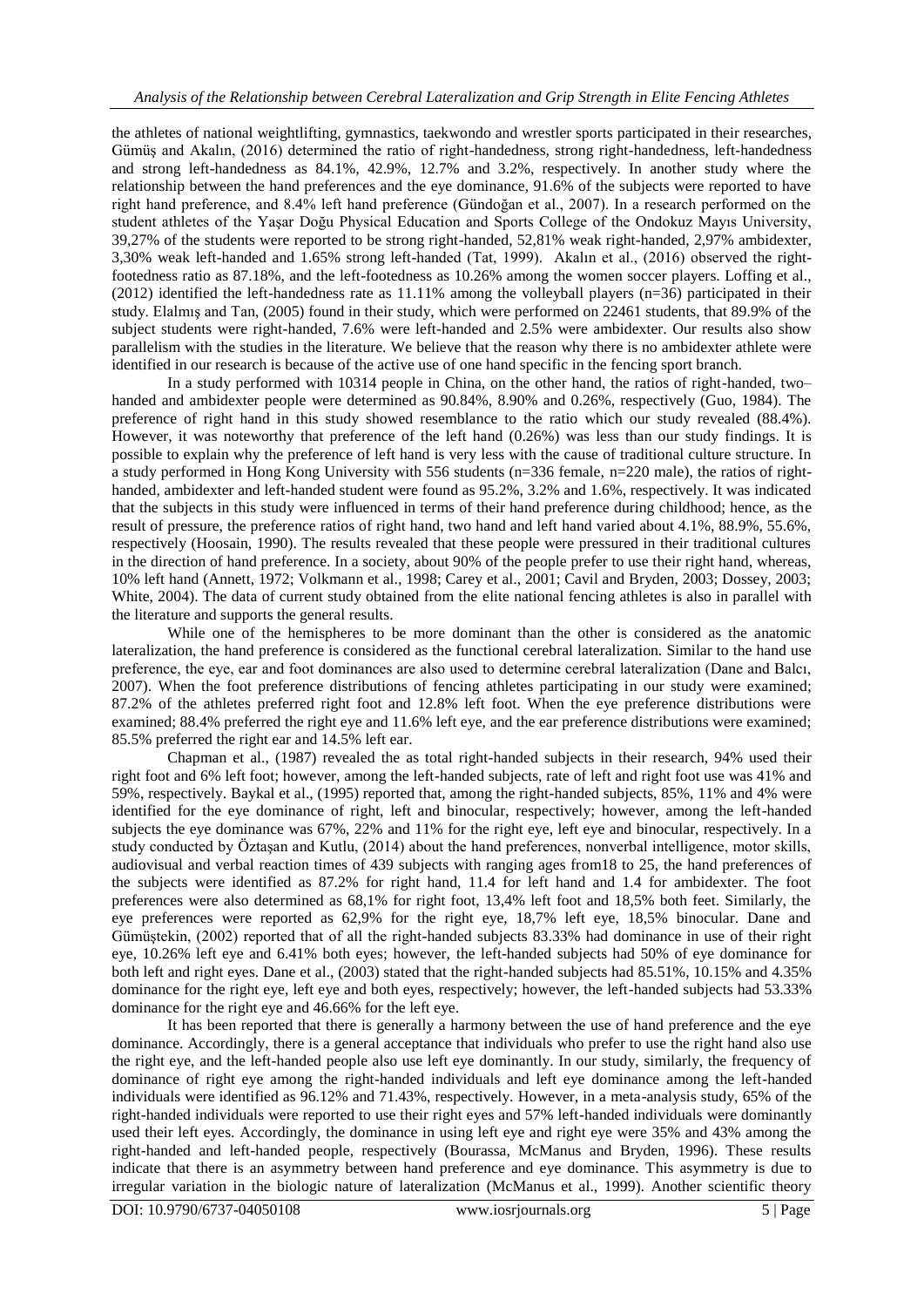the athletes of national weightlifting, gymnastics, taekwondo and wrestler sports participated in their researches, Gümüş and Akalın, (2016) determined the ratio of right-handedness, strong right-handedness, left-handedness and strong left-handedness as 84.1%, 42.9%, 12.7% and 3.2%, respectively. In another study where the relationship between the hand preferences and the eye dominance, 91.6% of the subjects were reported to have right hand preference, and 8.4% left hand preference (Gündoğan et al., 2007). In a research performed on the student athletes of the Yaşar Doğu Physical Education and Sports College of the Ondokuz Mayıs University, 39,27% of the students were reported to be strong right-handed, 52,81% weak right-handed, 2,97% ambidexter, 3,30% weak left-handed and 1.65% strong left-handed (Tat, 1999). Akalın et al., (2016) observed the rightfootedness ratio as 87.18%, and the left-footedness as 10.26% among the women soccer players. Loffing et al., (2012) identified the left-handedness rate as 11.11% among the volleyball players (n=36) participated in their study. Elalmış and Tan, (2005) found in their study, which were performed on 22461 students, that 89.9% of the subject students were right-handed, 7.6% were left-handed and 2.5% were ambidexter. Our results also show parallelism with the studies in the literature. We believe that the reason why there is no ambidexter athlete were identified in our research is because of the active use of one hand specific in the fencing sport branch.

In a study performed with 10314 people in China, on the other hand, the ratios of right-handed, two– handed and ambidexter people were determined as 90.84%, 8.90% and 0.26%, respectively (Guo, 1984). The preference of right hand in this study showed resemblance to the ratio which our study revealed (88.4%). However, it was noteworthy that preference of the left hand (0.26%) was less than our study findings. It is possible to explain why the preference of left hand is very less with the cause of traditional culture structure. In a study performed in Hong Kong University with 556 students (n=336 female, n=220 male), the ratios of righthanded, ambidexter and left-handed student were found as 95.2%, 3.2% and 1.6%, respectively. It was indicated that the subjects in this study were influenced in terms of their hand preference during childhood; hence, as the result of pressure, the preference ratios of right hand, two hand and left hand varied about 4.1%, 88.9%, 55.6%, respectively (Hoosain, 1990). The results revealed that these people were pressured in their traditional cultures in the direction of hand preference. In a society, about 90% of the people prefer to use their right hand, whereas, 10% left hand (Annett, 1972; Volkmann et al., 1998; Carey et al., 2001; Cavil and Bryden, 2003; Dossey, 2003; White, 2004). The data of current study obtained from the elite national fencing athletes is also in parallel with the literature and supports the general results.

While one of the hemispheres to be more dominant than the other is considered as the anatomic lateralization, the hand preference is considered as the functional cerebral lateralization. Similar to the hand use preference, the eye, ear and foot dominances are also used to determine cerebral lateralization (Dane and Balcı, 2007). When the foot preference distributions of fencing athletes participating in our study were examined; 87.2% of the athletes preferred right foot and 12.8% left foot. When the eye preference distributions were examined; 88.4% preferred the right eye and 11.6% left eye, and the ear preference distributions were examined; 85.5% preferred the right ear and 14.5% left ear.

Chapman et al., (1987) revealed the as total right-handed subjects in their research, 94% used their right foot and 6% left foot; however, among the left-handed subjects, rate of left and right foot use was 41% and 59%, respectively. Baykal et al., (1995) reported that, among the right-handed subjects, 85%, 11% and 4% were identified for the eye dominance of right, left and binocular, respectively; however, among the left-handed subjects the eye dominance was 67%, 22% and 11% for the right eye, left eye and binocular, respectively. In a study conducted by Öztaşan and Kutlu, (2014) about the hand preferences, nonverbal intelligence, motor skills, audiovisual and verbal reaction times of 439 subjects with ranging ages from18 to 25, the hand preferences of the subjects were identified as 87.2% for right hand, 11.4 for left hand and 1.4 for ambidexter. The foot preferences were also determined as 68,1% for right foot, 13,4% left foot and 18,5% both feet. Similarly, the eye preferences were reported as 62,9% for the right eye, 18,7% left eye, 18,5% binocular. Dane and Gümüştekin, (2002) reported that of all the right-handed subjects 83.33% had dominance in use of their right eye, 10.26% left eye and 6.41% both eyes; however, the left-handed subjects had 50% of eye dominance for both left and right eyes. Dane et al., (2003) stated that the right-handed subjects had 85.51%, 10.15% and 4.35% dominance for the right eye, left eye and both eyes, respectively; however, the left-handed subjects had 53.33% dominance for the right eye and 46.66% for the left eye.

It has been reported that there is generally a harmony between the use of hand preference and the eye dominance. Accordingly, there is a general acceptance that individuals who prefer to use the right hand also use the right eye, and the left-handed people also use left eye dominantly. In our study, similarly, the frequency of dominance of right eye among the right-handed individuals and left eye dominance among the left-handed individuals were identified as 96.12% and 71.43%, respectively. However, in a meta-analysis study, 65% of the right-handed individuals were reported to use their right eyes and 57% left-handed individuals were dominantly used their left eyes. Accordingly, the dominance in using left eye and right eye were 35% and 43% among the right-handed and left-handed people, respectively (Bourassa, McManus and Bryden, 1996). These results indicate that there is an asymmetry between hand preference and eye dominance. This asymmetry is due to irregular variation in the biologic nature of lateralization (McManus et al., 1999). Another scientific theory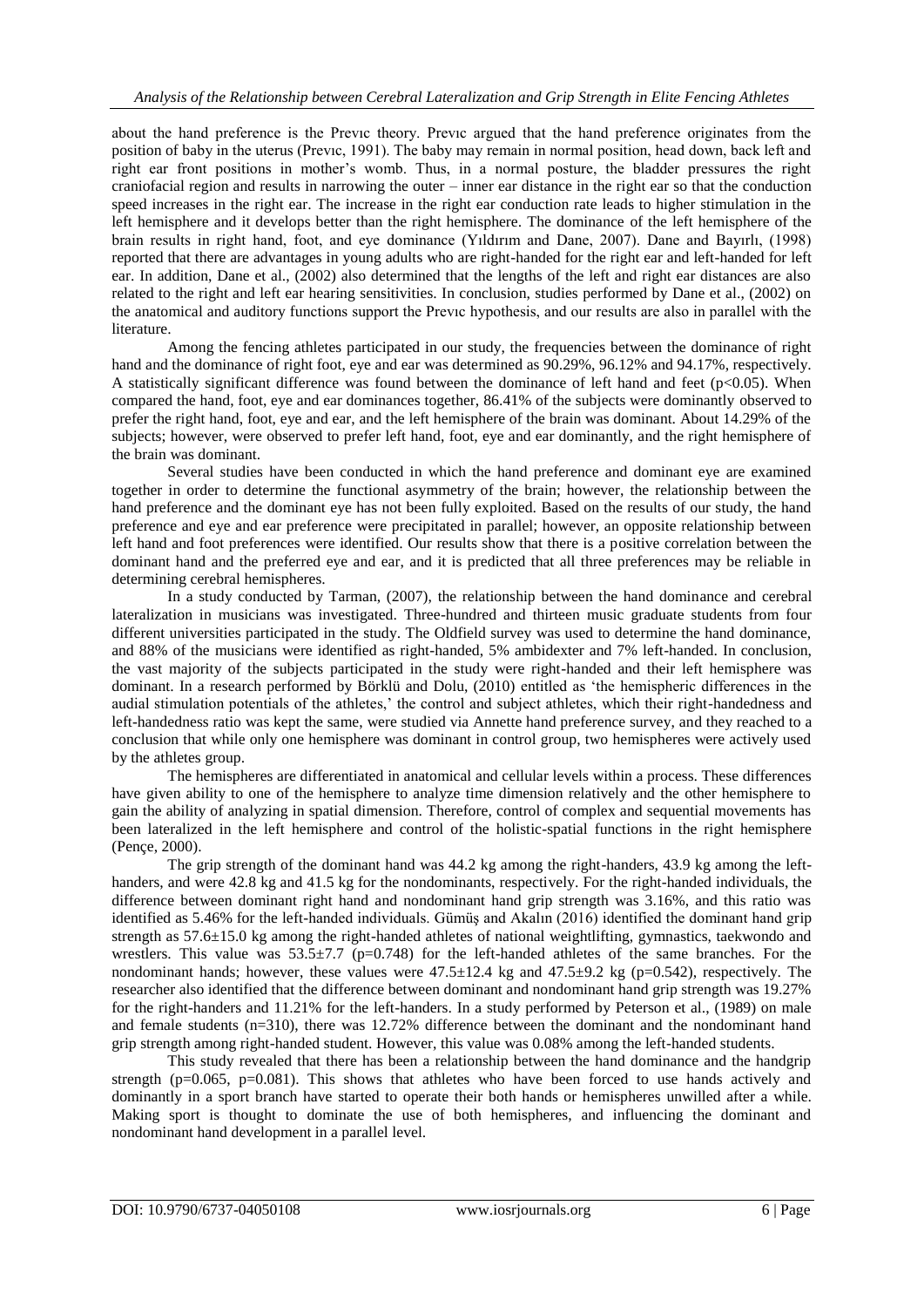about the hand preference is the Prevıc theory. Prevıc argued that the hand preference originates from the position of baby in the uterus (Prevıc, 1991). The baby may remain in normal position, head down, back left and right ear front positions in mother"s womb. Thus, in a normal posture, the bladder pressures the right craniofacial region and results in narrowing the outer – inner ear distance in the right ear so that the conduction speed increases in the right ear. The increase in the right ear conduction rate leads to higher stimulation in the left hemisphere and it develops better than the right hemisphere. The dominance of the left hemisphere of the brain results in right hand, foot, and eye dominance (Yıldırım and Dane, 2007). Dane and Bayırlı, (1998) reported that there are advantages in young adults who are right-handed for the right ear and left-handed for left ear. In addition, Dane et al., (2002) also determined that the lengths of the left and right ear distances are also related to the right and left ear hearing sensitivities. In conclusion, studies performed by Dane et al., (2002) on the anatomical and auditory functions support the Prevıc hypothesis, and our results are also in parallel with the literature.

Among the fencing athletes participated in our study, the frequencies between the dominance of right hand and the dominance of right foot, eye and ear was determined as 90.29%, 96.12% and 94.17%, respectively. A statistically significant difference was found between the dominance of left hand and feet ( $p<0.05$ ). When compared the hand, foot, eye and ear dominances together, 86.41% of the subjects were dominantly observed to prefer the right hand, foot, eye and ear, and the left hemisphere of the brain was dominant. About 14.29% of the subjects; however, were observed to prefer left hand, foot, eye and ear dominantly, and the right hemisphere of the brain was dominant.

Several studies have been conducted in which the hand preference and dominant eye are examined together in order to determine the functional asymmetry of the brain; however, the relationship between the hand preference and the dominant eye has not been fully exploited. Based on the results of our study, the hand preference and eye and ear preference were precipitated in parallel; however, an opposite relationship between left hand and foot preferences were identified. Our results show that there is a positive correlation between the dominant hand and the preferred eye and ear, and it is predicted that all three preferences may be reliable in determining cerebral hemispheres.

In a study conducted by Tarman, (2007), the relationship between the hand dominance and cerebral lateralization in musicians was investigated. Three-hundred and thirteen music graduate students from four different universities participated in the study. The Oldfield survey was used to determine the hand dominance, and 88% of the musicians were identified as right-handed, 5% ambidexter and 7% left-handed. In conclusion, the vast majority of the subjects participated in the study were right-handed and their left hemisphere was dominant. In a research performed by Börklü and Dolu, (2010) entitled as "the hemispheric differences in the audial stimulation potentials of the athletes,' the control and subject athletes, which their right-handedness and left-handedness ratio was kept the same, were studied via Annette hand preference survey, and they reached to a conclusion that while only one hemisphere was dominant in control group, two hemispheres were actively used by the athletes group.

The hemispheres are differentiated in anatomical and cellular levels within a process. These differences have given ability to one of the hemisphere to analyze time dimension relatively and the other hemisphere to gain the ability of analyzing in spatial dimension. Therefore, control of complex and sequential movements has been lateralized in the left hemisphere and control of the holistic-spatial functions in the right hemisphere (Pençe, 2000).

The grip strength of the dominant hand was 44.2 kg among the right-handers, 43.9 kg among the lefthanders, and were 42.8 kg and 41.5 kg for the nondominants, respectively. For the right-handed individuals, the difference between dominant right hand and nondominant hand grip strength was 3.16%, and this ratio was identified as 5.46% for the left-handed individuals. Gümüş and Akalın (2016) identified the dominant hand grip strength as 57.6±15.0 kg among the right-handed athletes of national weightlifting, gymnastics, taekwondo and wrestlers. This value was  $53.5\pm7.7$  (p=0.748) for the left-handed athletes of the same branches. For the nondominant hands; however, these values were  $47.5\pm12.4$  kg and  $47.5\pm9.2$  kg (p=0.542), respectively. The researcher also identified that the difference between dominant and nondominant hand grip strength was 19.27% for the right-handers and 11.21% for the left-handers. In a study performed by Peterson et al., (1989) on male and female students (n=310), there was 12.72% difference between the dominant and the nondominant hand grip strength among right-handed student. However, this value was 0.08% among the left-handed students.

This study revealed that there has been a relationship between the hand dominance and the handgrip strength ( $p=0.065$ ,  $p=0.081$ ). This shows that athletes who have been forced to use hands actively and dominantly in a sport branch have started to operate their both hands or hemispheres unwilled after a while. Making sport is thought to dominate the use of both hemispheres, and influencing the dominant and nondominant hand development in a parallel level.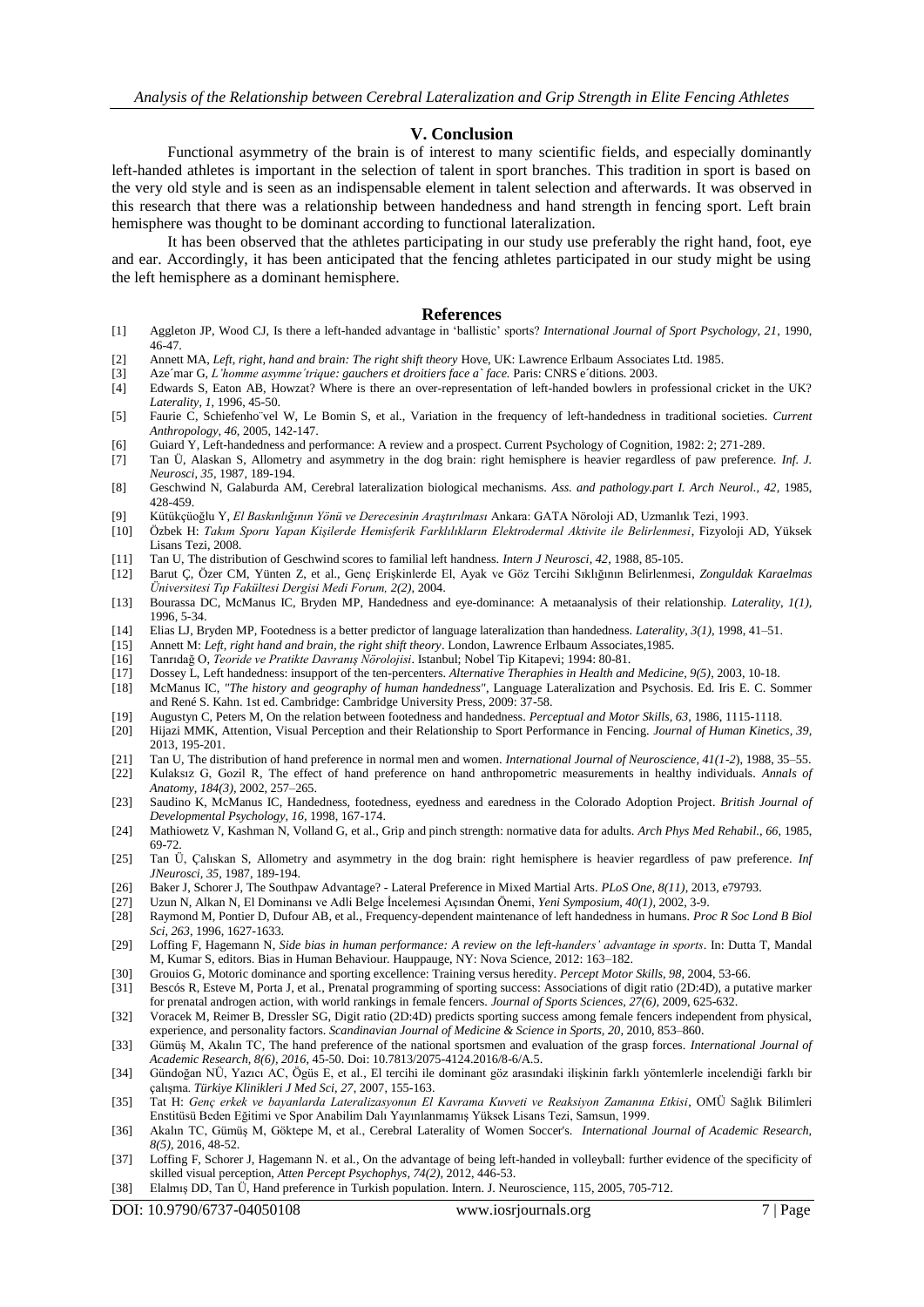## **V. Conclusion**

Functional asymmetry of the brain is of interest to many scientific fields, and especially dominantly left-handed athletes is important in the selection of talent in sport branches. This tradition in sport is based on the very old style and is seen as an indispensable element in talent selection and afterwards. It was observed in this research that there was a relationship between handedness and hand strength in fencing sport. Left brain hemisphere was thought to be dominant according to functional lateralization.

It has been observed that the athletes participating in our study use preferably the right hand, foot, eye and ear. Accordingly, it has been anticipated that the fencing athletes participated in our study might be using the left hemisphere as a dominant hemisphere.

#### **References**

- [1] Aggleton JP, Wood CJ, Is there a left-handed advantage in "ballistic" sports? *International Journal of Sport Psychology, 21,* 1990, 46-47.
- [2] Annett MA, *Left, right, hand and brain: The right shift theory* Hove, UK: Lawrence Erlbaum Associates Ltd. 1985.
- [3] Aze´mar G, *L'homme asymme´trique: gauchers et droitiers face a` face.* Paris: CNRS e´ditions. 2003. Edwards S, Eaton AB, Howzat? Where is there an over-representation of left-handed bowlers in professional cricket in the UK? *Laterality, 1,* 1996, 45-50.
- [5] Faurie C, Schiefenho¨vel W, Le Bomin S, et al., Variation in the frequency of left-handedness in traditional societies. *Current Anthropology, 46*, 2005, 142-147.
- [6] Guiard Y, Left-handedness and performance: A review and a prospect. Current Psychology of Cognition, 1982: 2; 271-289.
- [7] Tan Ü, Alaskan S, Allometry and asymmetry in the dog brain: right hemisphere is heavier regardless of paw preference. *Inf. J. Neurosci, 35,* 1987, 189-194.
- [8] Geschwind N, Galaburda AM, Cerebral lateralization biological mechanisms. *Ass. and pathology.part I. Arch Neurol., 42,* 1985, 428-459.
- 
- [9] Kütükçüoğlu Y, *El Baskınlığının Yönü ve Derecesinin Araştırılması* Ankara: GATA Nöroloji AD, Uzmanlık Tezi, 1993. [10] Özbek H: *Takım Sporu Yapan Kişilerde Hemisferik Farklılıkların Elektrodermal Aktivite ile Belirlenmesi*, Fizyoloji AD, Yüksek Lisans Tezi, 2008.
- [11] Tan U, The distribution of Geschwind scores to familial left handness. *Intern J Neurosci, 42,* 1988, 85-105.
- [12] Barut Ç, Özer CM, Yünten Z, et al., Genç Erişkinlerde El, Ayak ve Göz Tercihi Sıklığının Belirlenmesi, *Zonguldak Karaelmas Üniversitesi Tıp Fakültesi Dergisi Medi Forum, 2(2),* 2004.
- [13] Bourassa DC, McManus IC, Bryden MP, Handedness and eye-dominance: A metaanalysis of their relationship. *Laterality, 1(1),* 1996, 5-34.
- [14] Elias LJ, Bryden MP, Footedness is a better predictor of language lateralization than handedness. *Laterality, 3(1),* 1998, 41–51.
- [15] Annett M: *Left, right hand and brain, the right shift theory*. London, Lawrence Erlbaum Associates,1985.
- 
- [16] Tanrıdağ O, *Teoride ve Pratikte Davranış Nörolojisi*. Istanbul; Nobel Tip Kitapevi; 1994: 80-81. [17] Dossey L, Left handedness: insupport of the ten-percenters. *Alternative Theraphies in Health and Medicine, 9(5),* 2003, 10-18.
- [18] McManus IC, *"The history and geography of human handedness"*, Language Lateralization and Psychosis. Ed. Iris E. C. Sommer and René S. Kahn. 1st ed. Cambridge: Cambridge University Press, 2009: 37-58.
- [19] Augustyn C, Peters M, On the relation between footedness and handedness. *Perceptual and Motor Skills, 63,* 1986, 1115-1118.
- [20] Hijazi MMK, Attention, Visual Perception and their Relationship to Sport Performance in Fencing. *Journal of Human Kinetics, 39,* 2013, 195-201.
- [21] Tan U, The distribution of hand preference in normal men and women. *International Journal of Neuroscience, 41(1-2*), 1988, 35–55. [22] Kulaksız G, Gozil R, The effect of hand preference on hand anthropometric measurements in healthy individuals. *Annals of Anatomy, 184(3),* 2002, 257–265.
- [23] Saudino K, McManus IC, Handedness, footedness, eyedness and earedness in the Colorado Adoption Project. *British Journal of Developmental Psychology, 16,* 1998, 167-174.
- [24] Mathiowetz V, Kashman N, Volland G, et al., Grip and pinch strength: normative data for adults. *Arch Phys Med Rehabil., 66,* 1985, 69-72.
- [25] Tan Ü, Çalıskan S, Allometry and asymmetry in the dog brain: right hemisphere is heavier regardless of paw preference. *Inf JNeurosci, 35,* 1987, 189-194.
- [26] Baker J, Schorer J, The Southpaw Advantage? Lateral Preference in Mixed Martial Arts. *PLoS One, 8(11),* 2013, e79793.
- [27] Uzun N, Alkan N, El Dominansı ve Adli Belge İncelemesi Açısından Önemi, *Yeni Symposium, 40(1),* 2002, 3-9.
- [28] Raymond M, Pontier D, Dufour AB, et al., Frequency-dependent maintenance of left handedness in humans. *Proc R Soc Lond B Biol Sci, 263,* 1996, 1627-1633.
- [29] Loffing F, Hagemann N, *Side bias in human performance: A review on the left-handers' advantage in sports*. In: Dutta T, Mandal M, Kumar S, editors. Bias in Human Behaviour. Hauppauge, NY: Nova Science, 2012: 163–182.
- [30] Grouios G, Motoric dominance and sporting excellence: Training versus heredity. *Percept Motor Skills, 98,* 2004, 53-66.
- [31] Bescós R, Esteve M, Porta J, et al., Prenatal programming of sporting success: Associations of digit ratio (2D:4D), a putative marker for prenatal androgen action, with world rankings in female fencers. *Journal of Sports Sciences, 27(6),* 2009, 625-632.
- [32] Voracek M, Reimer B, Dressler SG, Digit ratio (2D:4D) predicts sporting success among female fencers independent from physical, experience, and personality factors. *Scandinavian Journal of Medicine & Science in Sports, 20,* 2010, 853–860.
- [33] Gümüş M, Akalın TC, The hand preference of the national sportsmen and evaluation of the grasp forces. *International Journal of Academic Research, 8(6), 2016*, 45-50. Doi: 10.7813/2075-4124.2016/8-6/A.5.
- [34] Gündoğan NÜ, Yazıcı AC, Ögüs E, et al., El tercihi ile dominant göz arasındaki ilişkinin farklı yöntemlerle incelendiği farklı bir çalışma. *Türkiye Klinikleri J Med Sci, 27*, 2007, 155-163.
- [35] Tat H: *Genç erkek ve bayanlarda Lateralizasyonun El Kavrama Kuvveti ve Reaksiyon Zamanına Etkisi,* OMÜ Sağlık Bilimleri Enstitüsü Beden Eğitimi ve Spor Anabilim Dalı Yayınlanmamış Yüksek Lisans Tezi, Samsun, 1999.
- [36] Akalın TC, Gümüş M, Göktepe M, et al., Cerebral Laterality of Women Soccer's. *International Journal of Academic Research, 8(5),* 2016, 48-52.
- [37] Loffing F, Schorer J, Hagemann N. et al., On the advantage of being left-handed in volleyball: further evidence of the specificity of skilled visual perception, *Atten Percept Psychophys, 74(2),* 2012, 446-53.
- [38] Elalmış DD, Tan Ü, Hand preference in Turkish population. Intern. J. Neuroscience, 115, 2005, 705-712.